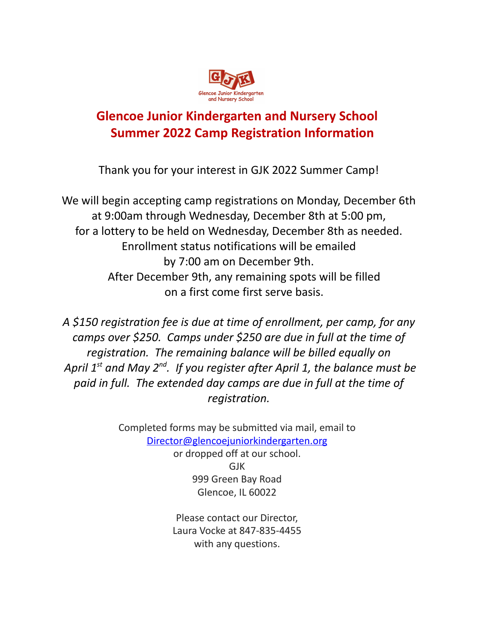

# **Glencoe Junior Kindergarten and Nursery School Summer 2022 Camp Registration Information**

Thank you for your interest in GJK 2022 Summer Camp!

We will begin accepting camp registrations on Monday, December 6th at 9:00am through Wednesday, December 8th at 5:00 pm, for a lottery to be held on Wednesday, December 8th as needed. Enrollment status notifications will be emailed by 7:00 am on December 9th. After December 9th, any remaining spots will be filled on a first come first serve basis.

*A \$150 registration fee is due at time of enrollment, per camp, for any camps over \$250. Camps under \$250 are due in full at the time of registration. The remaining balance will be billed equally on April 1 st and May 2 nd . If you register after April 1, the balance must be paid in full. The extended day camps are due in full at the time of registration.*

> Completed forms may be submitted via mail, email to [Director@glencoejuniorkindergarten.org](mailto:Director@glencoejuniorkindergarten.org) or dropped off at our school. GJK 999 Green Bay Road Glencoe, IL 60022

> > Please contact our Director, Laura Vocke at 847-835-4455 with any questions.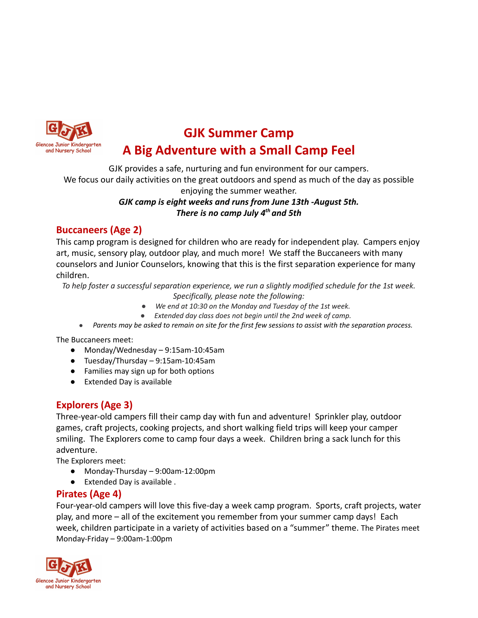

# **GJK Summer Camp A Big Adventure with a Small Camp Feel**

GJK provides a safe, nurturing and fun environment for our campers.

We focus our daily activities on the great outdoors and spend as much of the day as possible

enjoying the summer weather.

#### *GJK camp is eight weeks and runs from June 13th -August 5th. There is no camp July 4th and 5th*

### **Buccaneers (Age 2)**

This camp program is designed for children who are ready for independent play. Campers enjoy art, music, sensory play, outdoor play, and much more! We staff the Buccaneers with many counselors and Junior Counselors, knowing that this is the first separation experience for many children.

*To help foster a successful separation experience, we run a slightly modified schedule for the 1st week.*

- *Specifically, please note the following:*
- *● We end at 10:30 on the Monday and Tuesday of the 1st week.*
- *● Extended day class does not begin until the 2nd week of camp.*
- Parents may be asked to remain on site for the first few sessions to assist with the separation process.

The Buccaneers meet:

- Monday/Wednesday 9:15am-10:45am
- Tuesday/Thursday 9:15am-10:45am
- Families may sign up for both options
- Extended Day is available

### **Explorers (Age 3)**

Three-year-old campers fill their camp day with fun and adventure! Sprinkler play, outdoor games, craft projects, cooking projects, and short walking field trips will keep your camper smiling. The Explorers come to camp four days a week. Children bring a sack lunch for this adventure.

The Explorers meet:

- Monday-Thursday 9:00am-12:00pm
- Extended Day is available .

### **Pirates (Age 4)**

Four-year-old campers will love this five-day a week camp program. Sports, craft projects, water play, and more – all of the excitement you remember from your summer camp days! Each week, children participate in a variety of activities based on a "summer" theme. The Pirates meet Monday-Friday – 9:00am-1:00pm

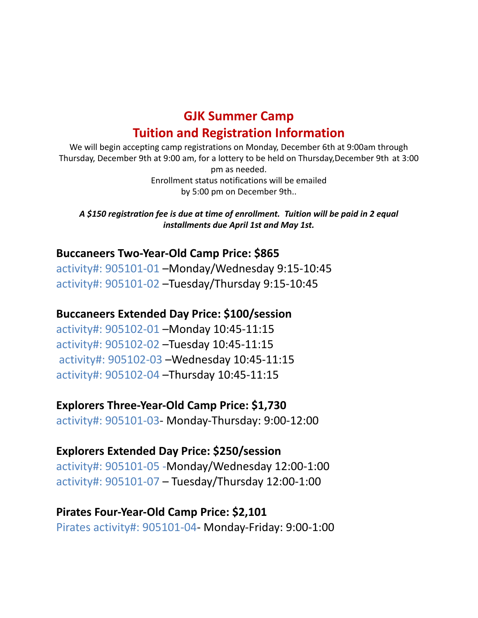## **GJK Summer Camp Tuition and Registration Information**

We will begin accepting camp registrations on Monday, December 6th at 9:00am through Thursday, December 9th at 9:00 am, for a lottery to be held on Thursday,December 9th at 3:00 pm as needed. Enrollment status notifications will be emailed by 5:00 pm on December 9th..

*A \$150 registration fee is due at time of enrollment. Tuition will be paid in 2 equal installments due April 1st and May 1st.*

### **Buccaneers Two-Year-Old Camp Price: \$865**

activity#: 905101-01 –Monday/Wednesday 9:15-10:45 activity#: 905101-02 –Tuesday/Thursday 9:15-10:45

### **Buccaneers Extended Day Price: \$100/session**

activity#: 905102-01 –Monday 10:45-11:15 activity#: 905102-02 –Tuesday 10:45-11:15 activity#: 905102-03 –Wednesday 10:45-11:15 activity#: 905102-04 –Thursday 10:45-11:15

### **Explorers Three-Year-Old Camp Price: \$1,730**

activity#: 905101-03- Monday-Thursday: 9:00-12:00

### **Explorers Extended Day Price: \$250/session**

activity#: 905101-05 -Monday/Wednesday 12:00-1:00 activity#: 905101-07 – Tuesday/Thursday 12:00-1:00

### **Pirates Four-Year-Old Camp Price: \$2,101**

Pirates activity#: 905101-04- Monday-Friday: 9:00-1:00